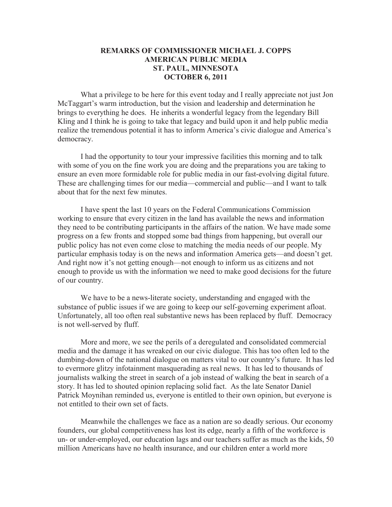## **REMARKS OF COMMISSIONER MICHAEL J. COPPS AMERICAN PUBLIC MEDIA ST. PAUL, MINNESOTA OCTOBER 6, 2011**

What a privilege to be here for this event today and I really appreciate not just Jon McTaggart's warm introduction, but the vision and leadership and determination he brings to everything he does. He inherits a wonderful legacy from the legendary Bill Kling and I think he is going to take that legacy and build upon it and help public media realize the tremendous potential it has to inform America's civic dialogue and America's democracy.

I had the opportunity to tour your impressive facilities this morning and to talk with some of you on the fine work you are doing and the preparations you are taking to ensure an even more formidable role for public media in our fast-evolving digital future. These are challenging times for our media—commercial and public—and I want to talk about that for the next few minutes.

I have spent the last 10 years on the Federal Communications Commission working to ensure that every citizen in the land has available the news and information they need to be contributing participants in the affairs of the nation. We have made some progress on a few fronts and stopped some bad things from happening, but overall our public policy has not even come close to matching the media needs of our people. My particular emphasis today is on the news and information America gets—and doesn't get. And right now it's not getting enough—not enough to inform us as citizens and not enough to provide us with the information we need to make good decisions for the future of our country.

We have to be a news-literate society, understanding and engaged with the substance of public issues if we are going to keep our self-governing experiment afloat. Unfortunately, all too often real substantive news has been replaced by fluff. Democracy is not well-served by fluff.

More and more, we see the perils of a deregulated and consolidated commercial media and the damage it has wreaked on our civic dialogue. This has too often led to the dumbing-down of the national dialogue on matters vital to our country's future. It has led to evermore glitzy infotainment masquerading as real news. It has led to thousands of journalists walking the street in search of a job instead of walking the beat in search of a story. It has led to shouted opinion replacing solid fact. As the late Senator Daniel Patrick Moynihan reminded us, everyone is entitled to their own opinion, but everyone is not entitled to their own set of facts.

Meanwhile the challenges we face as a nation are so deadly serious. Our economy founders, our global competitiveness has lost its edge, nearly a fifth of the workforce is un- or under-employed, our education lags and our teachers suffer as much as the kids, 50 million Americans have no health insurance, and our children enter a world more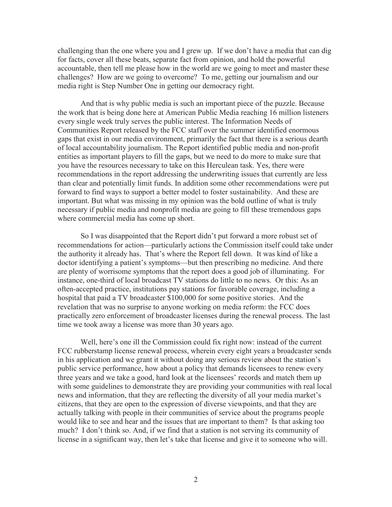challenging than the one where you and I grew up. If we don't have a media that can dig for facts, cover all these beats, separate fact from opinion, and hold the powerful accountable, then tell me please how in the world are we going to meet and master these challenges? How are we going to overcome? To me, getting our journalism and our media right is Step Number One in getting our democracy right.

And that is why public media is such an important piece of the puzzle. Because the work that is being done here at American Public Media reaching 16 million listeners every single week truly serves the public interest. The Information Needs of Communities Report released by the FCC staff over the summer identified enormous gaps that exist in our media environment, primarily the fact that there is a serious dearth of local accountability journalism. The Report identified public media and non-profit entities as important players to fill the gaps, but we need to do more to make sure that you have the resources necessary to take on this Herculean task. Yes, there were recommendations in the report addressing the underwriting issues that currently are less than clear and potentially limit funds. In addition some other recommendations were put forward to find ways to support a better model to foster sustainability. And these are important. But what was missing in my opinion was the bold outline of what is truly necessary if public media and nonprofit media are going to fill these tremendous gaps where commercial media has come up short.

So I was disappointed that the Report didn't put forward a more robust set of recommendations for action—particularly actions the Commission itself could take under the authority it already has. That's where the Report fell down. It was kind of like a doctor identifying a patient's symptoms—but then prescribing no medicine. And there are plenty of worrisome symptoms that the report does a good job of illuminating. For instance, one-third of local broadcast TV stations do little to no news. Or this: As an often-accepted practice, institutions pay stations for favorable coverage, including a hospital that paid a TV broadcaster \$100,000 for some positive stories. And the revelation that was no surprise to anyone working on media reform: the FCC does practically zero enforcement of broadcaster licenses during the renewal process. The last time we took away a license was more than 30 years ago.

Well, here's one ill the Commission could fix right now: instead of the current FCC rubberstamp license renewal process, wherein every eight years a broadcaster sends in his application and we grant it without doing any serious review about the station's public service performance, how about a policy that demands licensees to renew every three years and we take a good, hard look at the licensees' records and match them up with some guidelines to demonstrate they are providing your communities with real local news and information, that they are reflecting the diversity of all your media market's citizens, that they are open to the expression of diverse viewpoints, and that they are actually talking with people in their communities of service about the programs people would like to see and hear and the issues that are important to them? Is that asking too much? I don't think so. And, if we find that a station is not serving its community of license in a significant way, then let's take that license and give it to someone who will.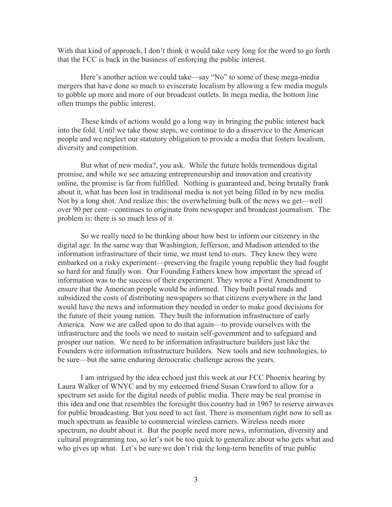With that kind of approach, I don't think it would take very long for the word to go forth that the FCC is back in the business of enforcing the public interest.

Here's another action we could take—say "No" to some of these mega-media mergers that have done so much to eviscerate localism by allowing a few media moguls to gobble up more and more of our broadcast outlets. In mega media, the bottom line often trumps the public interest.

These kinds of actions would go a long way in bringing the public interest back into the fold. Until we take those steps, we continue to do a disservice to the American people and we neglect our statutory obligation to provide a media that fosters localism, diversity and competition.

But what of new media?, you ask. While the future holds tremendous digital promise, and while we see amazing entrepreneurship and innovation and creativity online, the promise is far from fulfilled. Nothing is guaranteed and, being brutally frank about it, what has been lost in traditional media is not yet being filled in by new media. Not by a long shot. And realize this: the overwhelming bulk of the news we get—well over 90 per cent—continues to originate from newspaper and broadcast journalism. The problem is: there is so much less of it.

So we really need to be thinking about how best to inform our citizenry in the digital age. In the same way that Washington, Jefferson, and Madison attended to the information infrastructure of their time, we must tend to ours. They knew they were embarked on a risky experiment—preserving the fragile young republic they had fought so hard for and finally won. Our Founding Fathers knew how important the spread of information was to the success of their experiment. They wrote a First Amendment to ensure that the American people would be informed. They built postal roads and subsidized the costs of distributing newspapers so that citizens everywhere in the land would have the news and information they needed in order to make good decisions for the future of their young nation. They built the information infrastructure of early America. Now we are called upon to do that again—to provide ourselves with the infrastructure and the tools we need to sustain self-government and to safeguard and prosper our nation. We need to be information infrastructure builders just like the Founders were information infrastructure builders. New tools and new technologies, to be sure—but the same enduring democratic challenge across the years.

I am intrigued by the idea echoed just this week at our FCC Phoenix hearing by Laura Walker of WNYC and by my esteemed friend Susan Crawford to allow for a spectrum set aside for the digital needs of public media. There may be real promise in this idea and one that resembles the foresight this country had in 1967 to reserve airwaves for public broadcasting. But you need to act fast. There is momentum right now to sell as much spectrum as feasible to commercial wireless carriers. Wireless needs more spectrum, no doubt about it. But the people need more news, information, diversity and cultural programming too, so let's not be too quick to generalize about who gets what and who gives up what. Let's be sure we don't risk the long-term benefits of true public